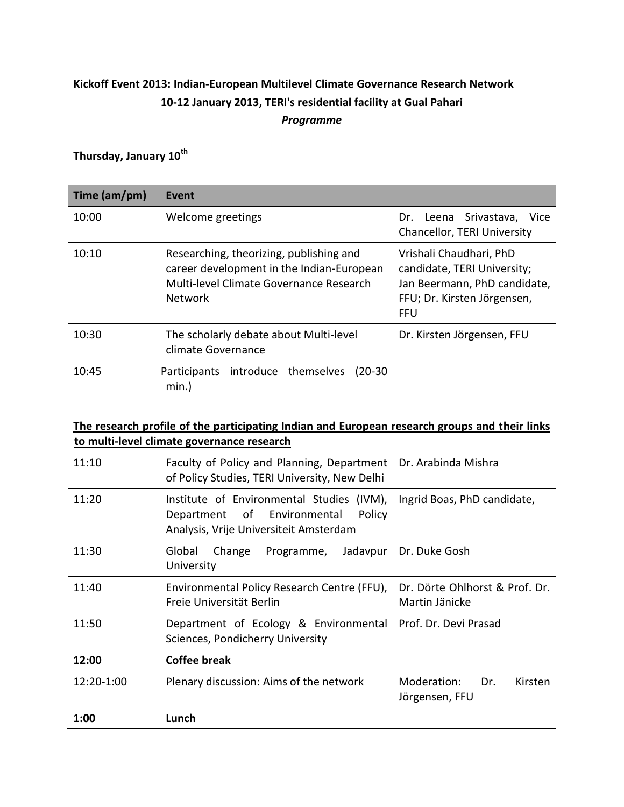#### **Kickoff Event 2013: Indian-European Multilevel Climate Governance Research Network 10-12 January 2013, TERI's residential facility at Gual Pahari** *Programme*

# **Thursday, January 10th**

| Time (am/pm) | Event                                                                                                                                             |                                                                                                                                     |  |  |
|--------------|---------------------------------------------------------------------------------------------------------------------------------------------------|-------------------------------------------------------------------------------------------------------------------------------------|--|--|
| 10:00        | Welcome greetings                                                                                                                                 | Dr. Leena Srivastava,<br>Vice<br>Chancellor, TERI University                                                                        |  |  |
| 10:10        | Researching, theorizing, publishing and<br>career development in the Indian-European<br>Multi-level Climate Governance Research<br><b>Network</b> | Vrishali Chaudhari, PhD<br>candidate, TERI University;<br>Jan Beermann, PhD candidate,<br>FFU; Dr. Kirsten Jörgensen,<br><b>FFU</b> |  |  |
| 10:30        | The scholarly debate about Multi-level<br>climate Governance                                                                                      | Dr. Kirsten Jörgensen, FFU                                                                                                          |  |  |
| 10:45        | Participants introduce themselves<br>$(20-30)$<br>min.)                                                                                           |                                                                                                                                     |  |  |

|            | The research profile of the participating Indian and European research groups and their links<br>to multi-level climate governance research |                                                  |
|------------|---------------------------------------------------------------------------------------------------------------------------------------------|--------------------------------------------------|
| 11:10      | Faculty of Policy and Planning, Department<br>of Policy Studies, TERI University, New Delhi                                                 | Dr. Arabinda Mishra                              |
| 11:20      | Institute of Environmental Studies<br>$(IVM)$ ,<br>of Environmental<br>Policy<br>Department<br>Analysis, Vrije Universiteit Amsterdam       | Ingrid Boas, PhD candidate,                      |
| 11:30      | Global<br>Change<br>Jadavpur<br>Programme,<br>University                                                                                    | Dr. Duke Gosh                                    |
| 11:40      | Environmental Policy Research Centre (FFU),<br>Freie Universität Berlin                                                                     | Dr. Dörte Ohlhorst & Prof. Dr.<br>Martin Jänicke |
| 11:50      | Department of Ecology & Environmental Prof. Dr. Devi Prasad<br>Sciences, Pondicherry University                                             |                                                  |
| 12:00      | <b>Coffee break</b>                                                                                                                         |                                                  |
| 12:20-1:00 | Plenary discussion: Aims of the network                                                                                                     | Moderation:<br>Dr.<br>Kirsten<br>Jörgensen, FFU  |
| 1:00       | Lunch                                                                                                                                       |                                                  |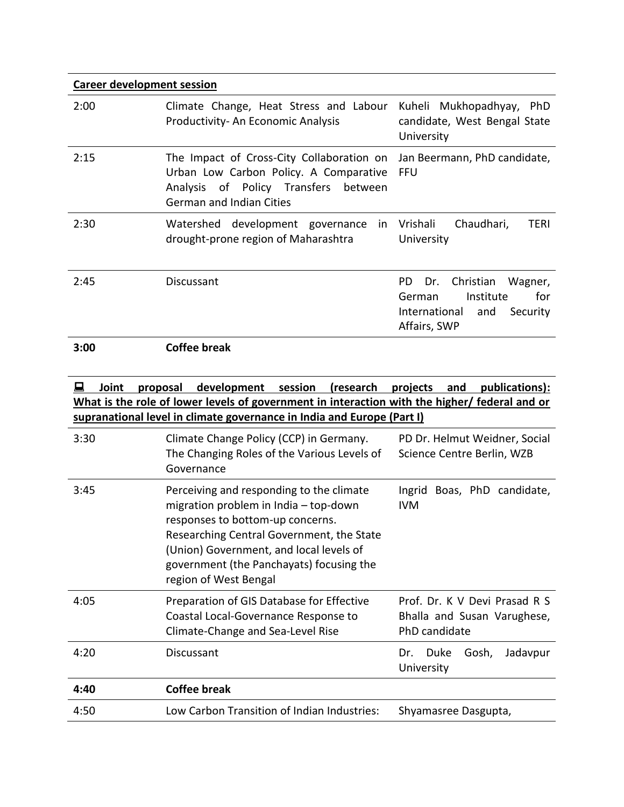| <b>Career development session</b> |                                                                                                                                                                   |                                                                                                                      |
|-----------------------------------|-------------------------------------------------------------------------------------------------------------------------------------------------------------------|----------------------------------------------------------------------------------------------------------------------|
| 2:00                              | Climate Change, Heat Stress and Labour<br>Productivity-An Economic Analysis                                                                                       | Kuheli Mukhopadhyay,<br><b>PhD</b><br>candidate, West Bengal State<br>University                                     |
| 2:15                              | The Impact of Cross-City Collaboration on<br>Urban Low Carbon Policy. A Comparative<br>Analysis of Policy Transfers<br>between<br><b>German and Indian Cities</b> | Jan Beermann, PhD candidate,<br>FFU                                                                                  |
| 2:30                              | Watershed development governance in<br>drought-prone region of Maharashtra                                                                                        | Vrishali<br>Chaudhari,<br>TERI<br>University                                                                         |
| 2:45                              | Discussant                                                                                                                                                        | Christian<br>PD.<br>Wagner,<br>Dr.<br>Institute<br>German<br>for<br>International<br>and<br>Security<br>Affairs, SWP |
| 3:00                              | Coffee break                                                                                                                                                      |                                                                                                                      |

|      | Joint | proposal | development                                                                                                                                                                                                                                                                        | session | (research | projects                   | and |       | publications):                                               |
|------|-------|----------|------------------------------------------------------------------------------------------------------------------------------------------------------------------------------------------------------------------------------------------------------------------------------------|---------|-----------|----------------------------|-----|-------|--------------------------------------------------------------|
|      |       |          | What is the role of lower levels of government in interaction with the higher/ federal and or                                                                                                                                                                                      |         |           |                            |     |       |                                                              |
|      |       |          | supranational level in climate governance in India and Europe (Part I)                                                                                                                                                                                                             |         |           |                            |     |       |                                                              |
| 3:30 |       |          | Climate Change Policy (CCP) in Germany.<br>The Changing Roles of the Various Levels of<br>Governance                                                                                                                                                                               |         |           | Science Centre Berlin, WZB |     |       | PD Dr. Helmut Weidner, Social                                |
| 3:45 |       |          | Perceiving and responding to the climate<br>migration problem in India - top-down<br>responses to bottom-up concerns.<br>Researching Central Government, the State<br>(Union) Government, and local levels of<br>government (the Panchayats) focusing the<br>region of West Bengal |         |           | Ingrid<br><b>IVM</b>       |     |       | Boas, PhD candidate,                                         |
| 4:05 |       |          | Preparation of GIS Database for Effective<br>Coastal Local-Governance Response to<br>Climate-Change and Sea-Level Rise                                                                                                                                                             |         |           | PhD candidate              |     |       | Prof. Dr. K V Devi Prasad R S<br>Bhalla and Susan Varughese, |
| 4:20 |       |          | Discussant                                                                                                                                                                                                                                                                         |         |           | Duke<br>Dr.<br>University  |     | Gosh, | Jadavpur                                                     |
| 4:40 |       |          | <b>Coffee break</b>                                                                                                                                                                                                                                                                |         |           |                            |     |       |                                                              |
| 4:50 |       |          | Low Carbon Transition of Indian Industries:                                                                                                                                                                                                                                        |         |           | Shyamasree Dasgupta,       |     |       |                                                              |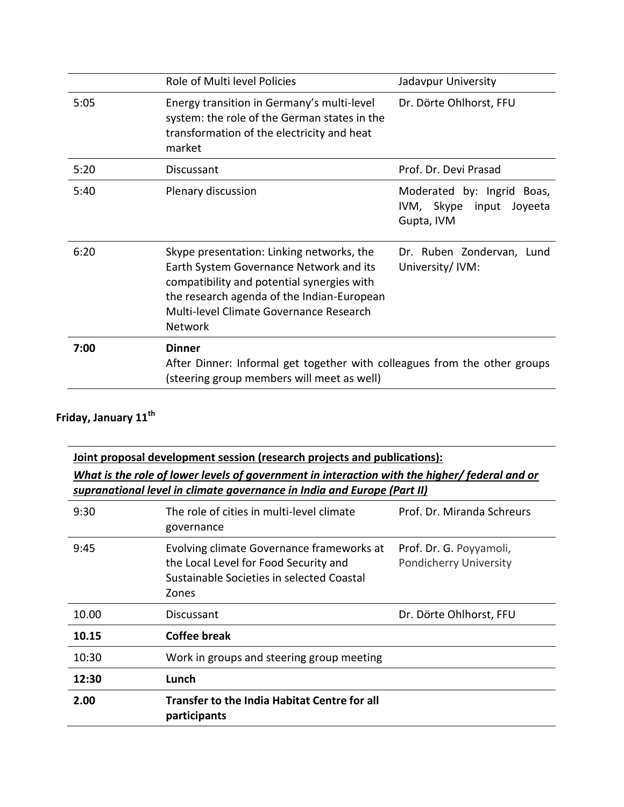|      | Role of Multi level Policies                                                                                                                                                                                                           | Jadavpur University                                                     |
|------|----------------------------------------------------------------------------------------------------------------------------------------------------------------------------------------------------------------------------------------|-------------------------------------------------------------------------|
| 5:05 | Energy transition in Germany's multi-level<br>system: the role of the German states in the<br>transformation of the electricity and heat<br>market                                                                                     | Dr. Dörte Ohlhorst, FFU                                                 |
| 5:20 | Discussant                                                                                                                                                                                                                             | Prof. Dr. Devi Prasad                                                   |
| 5:40 | Plenary discussion                                                                                                                                                                                                                     | Moderated by: Ingrid Boas,<br>IVM, Skype input<br>Joyeeta<br>Gupta, IVM |
| 6:20 | Skype presentation: Linking networks, the<br>Earth System Governance Network and its<br>compatibility and potential synergies with<br>the research agenda of the Indian-European<br>Multi-level Climate Governance Research<br>Network | Dr. Ruben Zondervan, Lund<br>University/ IVM:                           |
| 7:00 | <b>Dinner</b><br>After Dinner: Informal get together with colleagues from the other groups<br>(steering group members will meet as well)                                                                                               |                                                                         |

# **Friday, January 11th**

|       | Joint proposal development session (research projects and publications):<br>What is the role of lower levels of government in interaction with the higher/ federal and or<br>supranational level in climate governance in India and Europe (Part II) |                                                          |
|-------|------------------------------------------------------------------------------------------------------------------------------------------------------------------------------------------------------------------------------------------------------|----------------------------------------------------------|
| 9:30  | The role of cities in multi-level climate<br>governance                                                                                                                                                                                              | Prof. Dr. Miranda Schreurs                               |
| 9:45  | Evolving climate Governance frameworks at<br>the Local Level for Food Security and<br>Sustainable Societies in selected Coastal<br>Zones                                                                                                             | Prof. Dr. G. Poyyamoli,<br><b>Pondicherry University</b> |
| 10.00 | Discussant                                                                                                                                                                                                                                           | Dr. Dörte Ohlhorst, FFU                                  |
| 10.15 | Coffee break                                                                                                                                                                                                                                         |                                                          |
| 10:30 | Work in groups and steering group meeting                                                                                                                                                                                                            |                                                          |
| 12:30 | Lunch                                                                                                                                                                                                                                                |                                                          |
| 2.00  | <b>Transfer to the India Habitat Centre for all</b><br>participants                                                                                                                                                                                  |                                                          |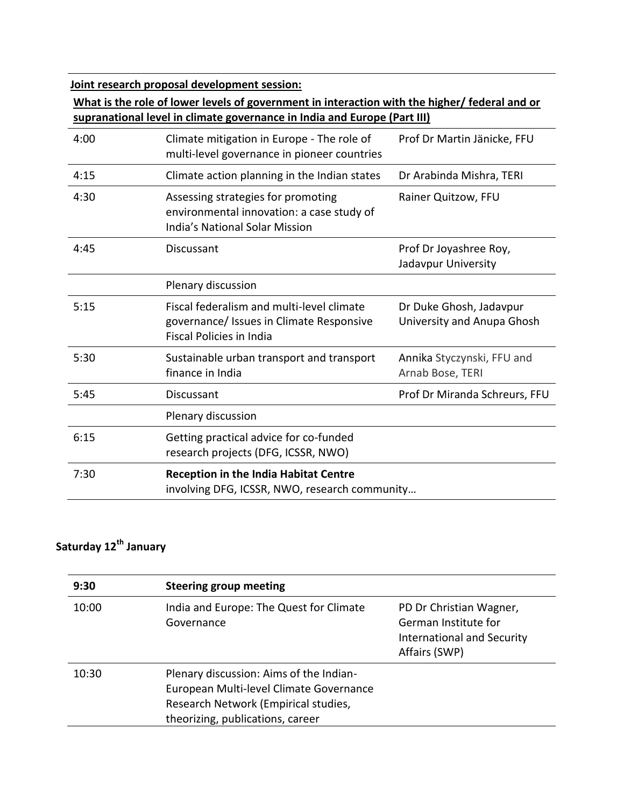**Joint research proposal development session:** 

#### **What is the role of lower levels of government in interaction with the higher/ federal and or supranational level in climate governance in India and Europe (Part III)**

| 4:00 | Climate mitigation in Europe - The role of<br>multi-level governance in pioneer countries                                | Prof Dr Martin Jänicke, FFU                           |
|------|--------------------------------------------------------------------------------------------------------------------------|-------------------------------------------------------|
| 4:15 | Climate action planning in the Indian states                                                                             | Dr Arabinda Mishra, TERI                              |
| 4:30 | Assessing strategies for promoting<br>environmental innovation: a case study of<br><b>India's National Solar Mission</b> | Rainer Quitzow, FFU                                   |
| 4:45 | Discussant                                                                                                               | Prof Dr Joyashree Roy,<br>Jadavpur University         |
|      | Plenary discussion                                                                                                       |                                                       |
| 5:15 | Fiscal federalism and multi-level climate<br>governance/ Issues in Climate Responsive<br><b>Fiscal Policies in India</b> | Dr Duke Ghosh, Jadavpur<br>University and Anupa Ghosh |
| 5:30 | Sustainable urban transport and transport<br>finance in India                                                            | Annika Styczynski, FFU and<br>Arnab Bose, TERI        |
| 5:45 | <b>Discussant</b>                                                                                                        | Prof Dr Miranda Schreurs, FFU                         |
|      | Plenary discussion                                                                                                       |                                                       |
| 6:15 | Getting practical advice for co-funded<br>research projects (DFG, ICSSR, NWO)                                            |                                                       |
| 7:30 | <b>Reception in the India Habitat Centre</b><br>involving DFG, ICSSR, NWO, research community                            |                                                       |

### **Saturday 12th January**

| 9:30  | <b>Steering group meeting</b>                                                                                                                                  |                                                                                                       |
|-------|----------------------------------------------------------------------------------------------------------------------------------------------------------------|-------------------------------------------------------------------------------------------------------|
| 10:00 | India and Europe: The Quest for Climate<br>Governance                                                                                                          | PD Dr Christian Wagner,<br>German Institute for<br><b>International and Security</b><br>Affairs (SWP) |
| 10:30 | Plenary discussion: Aims of the Indian-<br>European Multi-level Climate Governance<br>Research Network (Empirical studies,<br>theorizing, publications, career |                                                                                                       |